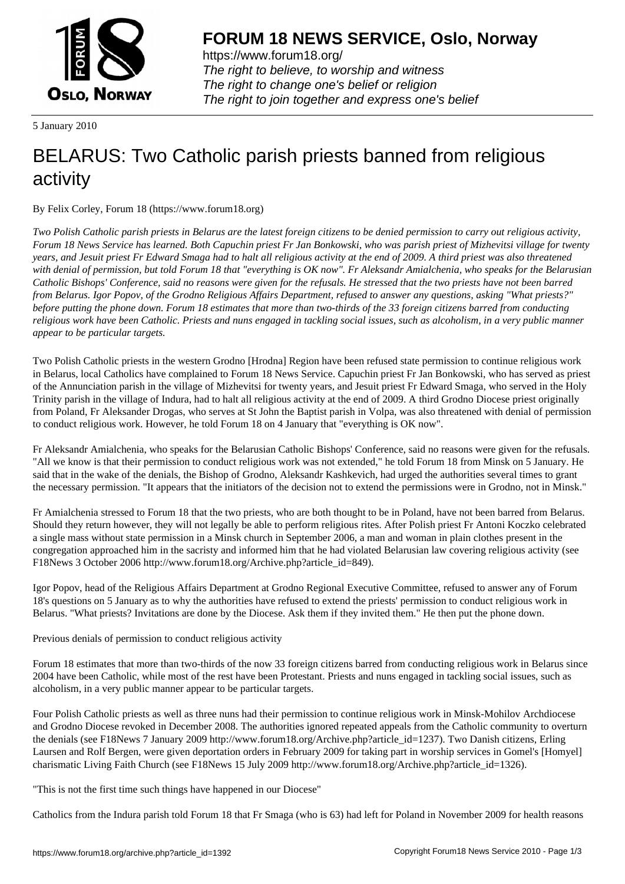

https://www.forum18.org/ The right to believe, to worship and witness The right to change one's belief or religion [The right to join together a](https://www.forum18.org/)nd express one's belief

5 January 2010

## [BELARUS: Two](https://www.forum18.org) Catholic parish priests banned from religious activity

By Felix Corley, Forum 18 (https://www.forum18.org)

*Two Polish Catholic parish priests in Belarus are the latest foreign citizens to be denied permission to carry out religious activity, Forum 18 News Service has learned. Both Capuchin priest Fr Jan Bonkowski, who was parish priest of Mizhevitsi village for twenty years, and Jesuit priest Fr Edward Smaga had to halt all religious activity at the end of 2009. A third priest was also threatened with denial of permission, but told Forum 18 that "everything is OK now". Fr Aleksandr Amialchenia, who speaks for the Belarusian Catholic Bishops' Conference, said no reasons were given for the refusals. He stressed that the two priests have not been barred from Belarus. Igor Popov, of the Grodno Religious Affairs Department, refused to answer any questions, asking "What priests?" before putting the phone down. Forum 18 estimates that more than two-thirds of the 33 foreign citizens barred from conducting religious work have been Catholic. Priests and nuns engaged in tackling social issues, such as alcoholism, in a very public manner appear to be particular targets.*

Two Polish Catholic priests in the western Grodno [Hrodna] Region have been refused state permission to continue religious work in Belarus, local Catholics have complained to Forum 18 News Service. Capuchin priest Fr Jan Bonkowski, who has served as priest of the Annunciation parish in the village of Mizhevitsi for twenty years, and Jesuit priest Fr Edward Smaga, who served in the Holy Trinity parish in the village of Indura, had to halt all religious activity at the end of 2009. A third Grodno Diocese priest originally from Poland, Fr Aleksander Drogas, who serves at St John the Baptist parish in Volpa, was also threatened with denial of permission to conduct religious work. However, he told Forum 18 on 4 January that "everything is OK now".

Fr Aleksandr Amialchenia, who speaks for the Belarusian Catholic Bishops' Conference, said no reasons were given for the refusals. "All we know is that their permission to conduct religious work was not extended," he told Forum 18 from Minsk on 5 January. He said that in the wake of the denials, the Bishop of Grodno, Aleksandr Kashkevich, had urged the authorities several times to grant the necessary permission. "It appears that the initiators of the decision not to extend the permissions were in Grodno, not in Minsk."

Fr Amialchenia stressed to Forum 18 that the two priests, who are both thought to be in Poland, have not been barred from Belarus. Should they return however, they will not legally be able to perform religious rites. After Polish priest Fr Antoni Koczko celebrated a single mass without state permission in a Minsk church in September 2006, a man and woman in plain clothes present in the congregation approached him in the sacristy and informed him that he had violated Belarusian law covering religious activity (see F18News 3 October 2006 http://www.forum18.org/Archive.php?article\_id=849).

Igor Popov, head of the Religious Affairs Department at Grodno Regional Executive Committee, refused to answer any of Forum 18's questions on 5 January as to why the authorities have refused to extend the priests' permission to conduct religious work in Belarus. "What priests? Invitations are done by the Diocese. Ask them if they invited them." He then put the phone down.

Previous denials of permission to conduct religious activity

Forum 18 estimates that more than two-thirds of the now 33 foreign citizens barred from conducting religious work in Belarus since 2004 have been Catholic, while most of the rest have been Protestant. Priests and nuns engaged in tackling social issues, such as alcoholism, in a very public manner appear to be particular targets.

Four Polish Catholic priests as well as three nuns had their permission to continue religious work in Minsk-Mohilov Archdiocese and Grodno Diocese revoked in December 2008. The authorities ignored repeated appeals from the Catholic community to overturn the denials (see F18News 7 January 2009 http://www.forum18.org/Archive.php?article\_id=1237). Two Danish citizens, Erling Laursen and Rolf Bergen, were given deportation orders in February 2009 for taking part in worship services in Gomel's [Homyel] charismatic Living Faith Church (see F18News 15 July 2009 http://www.forum18.org/Archive.php?article\_id=1326).

"This is not the first time such things have happened in our Diocese"

Catholics from the Indura parish told Forum 18 that Fr Smaga (who is 63) had left for Poland in November 2009 for health reasons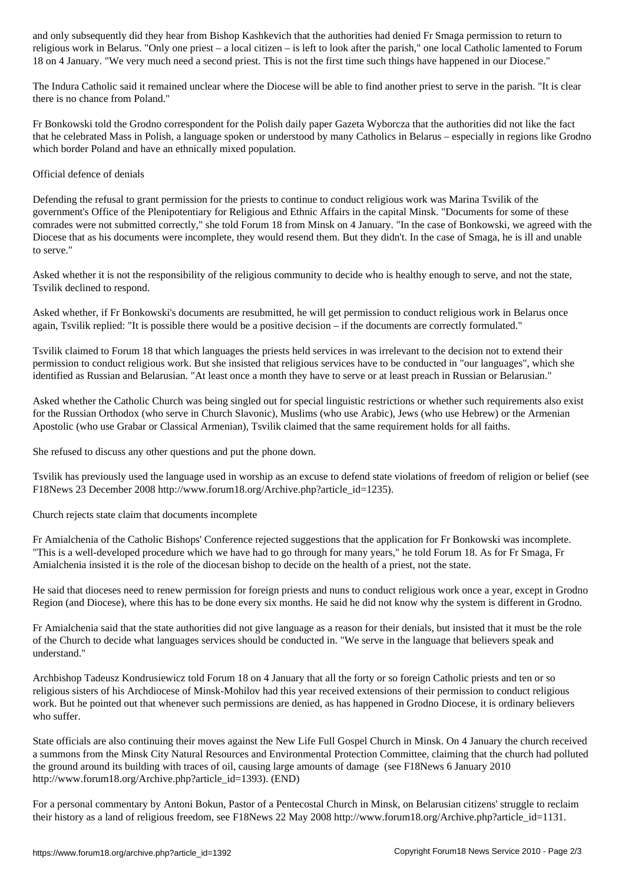religious work in Belarus. "Only one priest – a local citizen – is left to look after the parish," one local Catholic lamented to Forum 18 on 4 January. "We very much need a second priest. This is not the first time such things have happened in our Diocese."

The Indura Catholic said it remained unclear where the Diocese will be able to find another priest to serve in the parish. "It is clear there is no chance from Poland."

Fr Bonkowski told the Grodno correspondent for the Polish daily paper Gazeta Wyborcza that the authorities did not like the fact that he celebrated Mass in Polish, a language spoken or understood by many Catholics in Belarus – especially in regions like Grodno which border Poland and have an ethnically mixed population.

## Official defence of denials

Defending the refusal to grant permission for the priests to continue to conduct religious work was Marina Tsvilik of the government's Office of the Plenipotentiary for Religious and Ethnic Affairs in the capital Minsk. "Documents for some of these comrades were not submitted correctly," she told Forum 18 from Minsk on 4 January. "In the case of Bonkowski, we agreed with the Diocese that as his documents were incomplete, they would resend them. But they didn't. In the case of Smaga, he is ill and unable to serve."

Asked whether it is not the responsibility of the religious community to decide who is healthy enough to serve, and not the state, Tsvilik declined to respond.

Asked whether, if Fr Bonkowski's documents are resubmitted, he will get permission to conduct religious work in Belarus once again, Tsvilik replied: "It is possible there would be a positive decision – if the documents are correctly formulated."

Tsvilik claimed to Forum 18 that which languages the priests held services in was irrelevant to the decision not to extend their permission to conduct religious work. But she insisted that religious services have to be conducted in "our languages", which she identified as Russian and Belarusian. "At least once a month they have to serve or at least preach in Russian or Belarusian."

Asked whether the Catholic Church was being singled out for special linguistic restrictions or whether such requirements also exist for the Russian Orthodox (who serve in Church Slavonic), Muslims (who use Arabic), Jews (who use Hebrew) or the Armenian Apostolic (who use Grabar or Classical Armenian), Tsvilik claimed that the same requirement holds for all faiths.

She refused to discuss any other questions and put the phone down.

Tsvilik has previously used the language used in worship as an excuse to defend state violations of freedom of religion or belief (see F18News 23 December 2008 http://www.forum18.org/Archive.php?article\_id=1235).

Church rejects state claim that documents incomplete

Fr Amialchenia of the Catholic Bishops' Conference rejected suggestions that the application for Fr Bonkowski was incomplete. "This is a well-developed procedure which we have had to go through for many years," he told Forum 18. As for Fr Smaga, Fr Amialchenia insisted it is the role of the diocesan bishop to decide on the health of a priest, not the state.

He said that dioceses need to renew permission for foreign priests and nuns to conduct religious work once a year, except in Grodno Region (and Diocese), where this has to be done every six months. He said he did not know why the system is different in Grodno.

Fr Amialchenia said that the state authorities did not give language as a reason for their denials, but insisted that it must be the role of the Church to decide what languages services should be conducted in. "We serve in the language that believers speak and understand."

Archbishop Tadeusz Kondrusiewicz told Forum 18 on 4 January that all the forty or so foreign Catholic priests and ten or so religious sisters of his Archdiocese of Minsk-Mohilov had this year received extensions of their permission to conduct religious work. But he pointed out that whenever such permissions are denied, as has happened in Grodno Diocese, it is ordinary believers who suffer.

State officials are also continuing their moves against the New Life Full Gospel Church in Minsk. On 4 January the church received a summons from the Minsk City Natural Resources and Environmental Protection Committee, claiming that the church had polluted the ground around its building with traces of oil, causing large amounts of damage (see F18News 6 January 2010 http://www.forum18.org/Archive.php?article\_id=1393). (END)

For a personal commentary by Antoni Bokun, Pastor of a Pentecostal Church in Minsk, on Belarusian citizens' struggle to reclaim their history as a land of religious freedom, see F18News 22 May 2008 http://www.forum18.org/Archive.php?article\_id=1131.